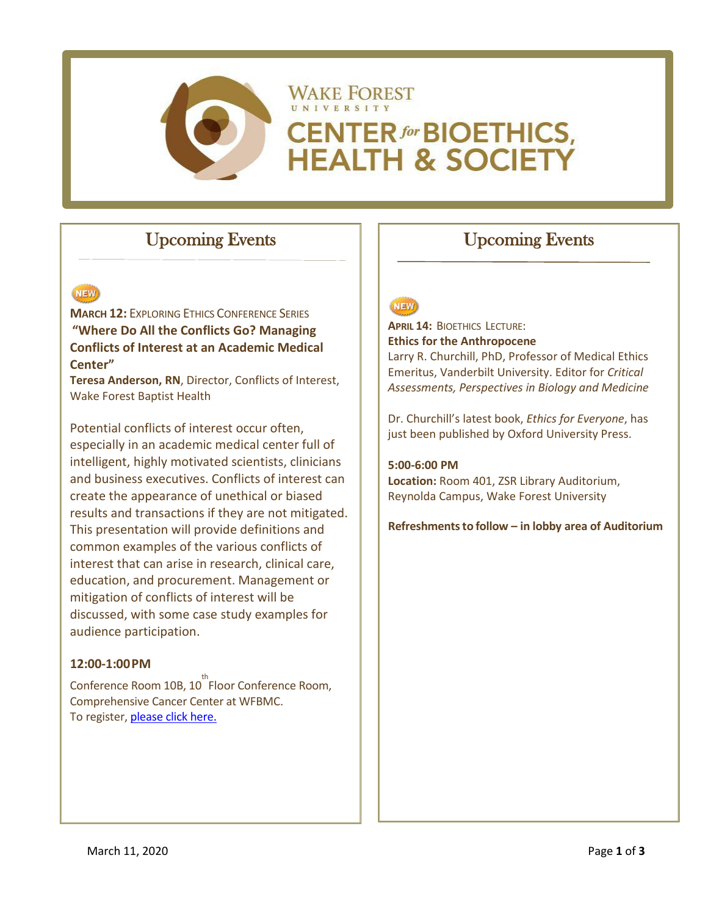

# Upcoming Events

#### NEW

**MARCH 12:** EXPLORING ETHICS CONFERENCE SERIES **"Where Do All the Conflicts Go? Managing Conflicts of Interest at an Academic Medical Center"**

**Teresa Anderson, RN**, Director, Conflicts of Interest, Wake Forest Baptist Health

Potential conflicts of interest occur often, especially in an academic medical center full of intelligent, highly motivated scientists, clinicians and business executives. Conflicts of interest can create the appearance of unethical or biased results and transactions if they are not mitigated. This presentation will provide definitions and common examples of the various conflicts of interest that can arise in research, clinical care, education, and procurement. Management or mitigation of conflicts of interest will be discussed, with some case study examples for audience participation.

#### **12:00-1:00PM**

Conference Room 10B, 10<sup>th</sup> Floor Conference Room, Comprehensive Cancer Center at WFBMC. To register[, please click here.](https://northwestahec.wakehealth.edu/courses-and-events/60879/exploring-ethics-where-do-all-the-conflicts-go-managing-conflicts-of-interest-at-an-academic-medical-center)

## Upcoming Events

### **NEW**

**APRIL 14:** BIOETHICS LECTURE: **Ethics for the Anthropocene** Larry R. Churchill, PhD, Professor of Medical Ethics Emeritus, Vanderbilt University. Editor for *Critical Assessments, Perspectives in Biology and Medicine*

Dr. Churchill's latest book, *Ethics for Everyone*, has just been published by Oxford University Press.

**5:00-6:00 PM**

**Location:** Room 401, ZSR Library Auditorium, Reynolda Campus, Wake Forest University

**Refreshmentsto follow – in lobby area of Auditorium**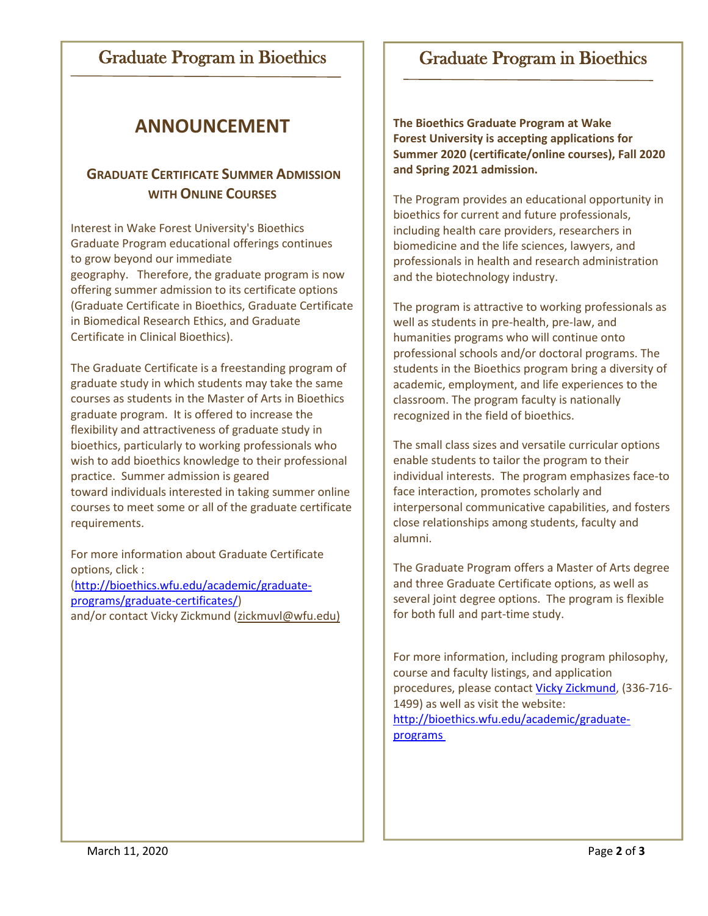### Graduate Program in Bioethics

# Graduate Program in Bioethics

# **ANNOUNCEMENT**

### **GRADUATE CERTIFICATE SUMMER ADMISSION WITH ONLINE COURSES**

Interest in Wake Forest University's Bioethics Graduate Program educational offerings continues to grow beyond our immediate geography. Therefore, the graduate program is now offering summer admission to its certificate options (Graduate Certificate in Bioethics, Graduate Certificate in Biomedical Research Ethics, and Graduate Certificate in Clinical Bioethics).

The Graduate Certificate is a freestanding program of graduate study in which students may take the same courses as students in the Master of Arts in Bioethics graduate program. It is offered to increase the flexibility and attractiveness of graduate study in bioethics, particularly to working professionals who wish to add bioethics knowledge to their professional practice. Summer admission is geared toward individuals interested in taking summer online courses to meet some or all of the graduate certificate requirements.

For more information about Graduate Certificate options, click : [\(http://bioethics.wfu.edu/academic/graduate](http://bioethics.wfu.edu/academic/graduate-%20programs/graduate-certificates/)[programs/graduate-certificates/\)](http://bioethics.wfu.edu/academic/graduate-%20programs/graduate-certificates/)

and/or contact Vicky Zickmund [\(zickmuvl@wfu.edu\)](mailto:zickmuvl@wfu.edu)

**The Bioethics Graduate Program at Wake Forest University is accepting applications for Summer 2020 (certificate/online courses), Fall 2020 and Spring 2021 admission.**

The Program provides an educational opportunity in bioethics for current and future professionals, including health care providers, researchers in biomedicine and the life sciences, lawyers, and professionals in health and research administration and the biotechnology industry.

The program is attractive to working professionals as well as students in pre-health, pre-law, and humanities programs who will continue onto professional schools and/or doctoral programs. The students in the Bioethics program bring a diversity of academic, employment, and life experiences to the classroom. The program faculty is nationally recognized in the field of bioethics.

The small class sizes and versatile curricular options enable students to tailor the program to their individual interests. The program emphasizes face-to face interaction, promotes scholarly and interpersonal communicative capabilities, and fosters close relationships among students, faculty and alumni.

The Graduate Program offers a Master of Arts degree and three Graduate Certificate options, as well as several joint degree options. The program is flexible for both full and part-time study.

For more information, including program philosophy, course and faculty listings, and application procedures, please contac[t Vicky Zickmund,](mailto:zickmuvl@wfu.edu) (336-716- 1499) as well as visit the website: [http://bioethics.wfu.edu/academic/graduate](http://bioethics.wfu.edu/academic/graduate-programs%C2%A0)[programs](http://bioethics.wfu.edu/academic/graduate-programs%C2%A0)